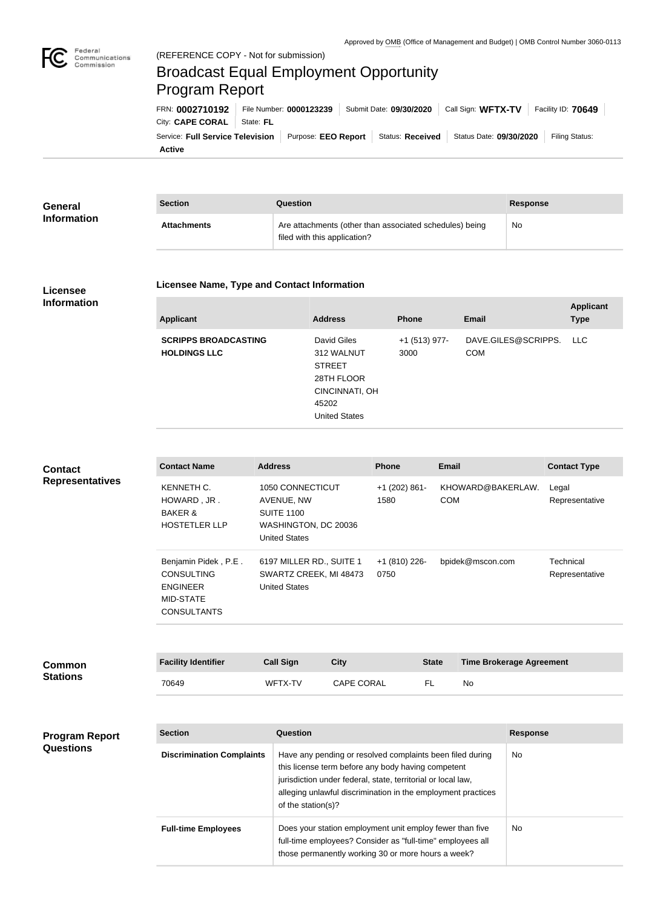

## Broadcast Equal Employment Opportunity Program Report

| FRN: 0002710192                                                                                                                       | File Number: 0000123239 | Submit Date: 09/30/2020   Call Sign: WFTX-TV   Facility ID: 70649 |  |  |
|---------------------------------------------------------------------------------------------------------------------------------------|-------------------------|-------------------------------------------------------------------|--|--|
| City: CAPE CORAL   State: FL                                                                                                          |                         |                                                                   |  |  |
| Service: Full Service Television   Purpose: EEO Report   Status: Received   Status Date: 09/30/2020   Filing Status:<br><b>Active</b> |                         |                                                                   |  |  |

| <b>General</b><br><b>Information</b> | <b>Section</b>     | Question                                                                                | <b>Response</b> |
|--------------------------------------|--------------------|-----------------------------------------------------------------------------------------|-----------------|
|                                      | <b>Attachments</b> | Are attachments (other than associated schedules) being<br>filed with this application? | No              |

## **Licensee Information**

## **Licensee Name, Type and Contact Information**

| DAVE.GILES@SCRIPPS.<br>David Giles<br>+1 (513) 977-<br><b>SCRIPPS BROADCASTING</b><br>LLC<br><b>COM</b><br><b>HOLDINGS LLC</b><br>312 WALNUT<br>3000<br><b>STREET</b> |  |
|-----------------------------------------------------------------------------------------------------------------------------------------------------------------------|--|
| 28TH FLOOR<br>CINCINNATI, OH<br>45202<br><b>United States</b>                                                                                                         |  |

| <b>Contact</b><br><b>Representatives</b> | <b>Contact Name</b>                                                                                    | <b>Address</b>                                                                                      |                   | <b>Phone</b>            | <b>Email</b> |                                 | <b>Contact Type</b>         |
|------------------------------------------|--------------------------------------------------------------------------------------------------------|-----------------------------------------------------------------------------------------------------|-------------------|-------------------------|--------------|---------------------------------|-----------------------------|
|                                          | KENNETH C.<br>HOWARD, JR.<br><b>BAKER &amp;</b><br><b>HOSTETLER LLP</b>                                | 1050 CONNECTICUT<br>AVENUE, NW<br><b>SUITE 1100</b><br>WASHINGTON, DC 20036<br><b>United States</b> |                   | $+1$ (202) 861-<br>1580 | <b>COM</b>   | KHOWARD@BAKERLAW.               | Legal<br>Representative     |
|                                          | Benjamin Pidek, P.E.<br><b>CONSULTING</b><br><b>ENGINEER</b><br><b>MID-STATE</b><br><b>CONSULTANTS</b> | 6197 MILLER RD., SUITE 1<br>SWARTZ CREEK, MI 48473<br><b>United States</b>                          |                   | +1 (810) 226-<br>0750   |              | bpidek@mscon.com                | Technical<br>Representative |
|                                          |                                                                                                        |                                                                                                     |                   |                         |              |                                 |                             |
| <b>Common</b><br><b>Stations</b>         | <b>Facility Identifier</b>                                                                             | <b>Call Sign</b>                                                                                    | <b>City</b>       |                         | <b>State</b> | <b>Time Brokerage Agreement</b> |                             |
|                                          | 70649                                                                                                  | WFTX-TV                                                                                             | <b>CAPE CORAL</b> |                         | <b>FL</b>    | <b>No</b>                       |                             |

| <b>Program Report</b> |
|-----------------------|
| <b>Questions</b>      |

| <b>Section</b>                   | Question                                                                                                                                                                                                                                                              | <b>Response</b> |
|----------------------------------|-----------------------------------------------------------------------------------------------------------------------------------------------------------------------------------------------------------------------------------------------------------------------|-----------------|
| <b>Discrimination Complaints</b> | Have any pending or resolved complaints been filed during<br>this license term before any body having competent<br>jurisdiction under federal, state, territorial or local law,<br>alleging unlawful discrimination in the employment practices<br>of the station(s)? | No.             |
| <b>Full-time Employees</b>       | Does your station employment unit employ fewer than five<br>full-time employees? Consider as "full-time" employees all<br>those permanently working 30 or more hours a week?                                                                                          | No.             |